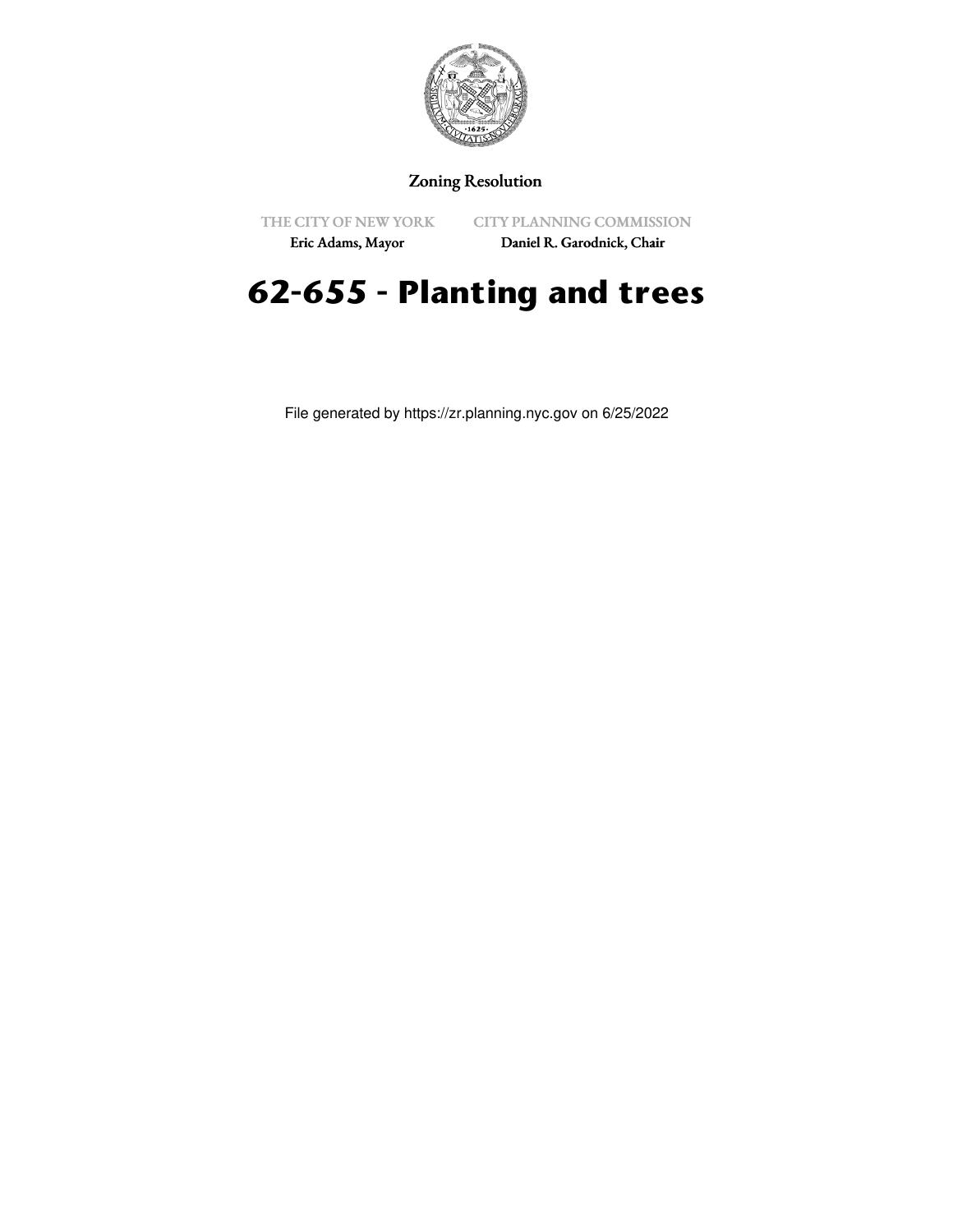

# Zoning Resolution

THE CITY OF NEW YORK

CITY PLANNING COMMISSION Daniel R. Garodnick, Chair

Eric Adams, Mayor

# **62-655 - Planting and trees**

File generated by https://zr.planning.nyc.gov on 6/25/2022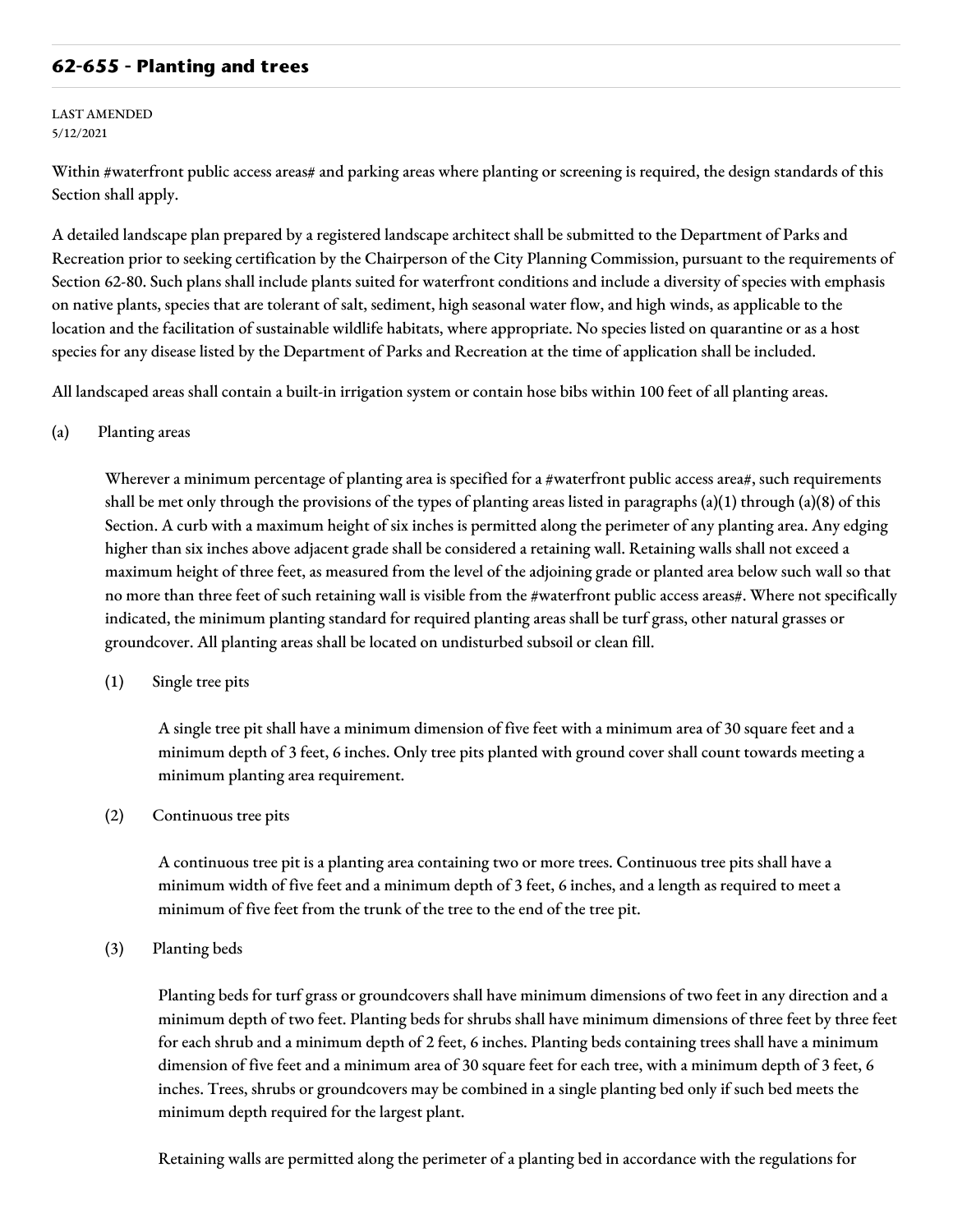## **62-655 - Planting and trees**

#### LAST AMENDED 5/12/2021

Within #waterfront public access areas# and parking areas where planting or screening is required, the design standards of this Section shall apply.

A detailed landscape plan prepared by a registered landscape architect shall be submitted to the Department of Parks and Recreation prior to seeking certification by the Chairperson of the City Planning Commission, pursuant to the requirements of Section 62-80. Such plans shall include plants suited for waterfront conditions and include a diversity of species with emphasis on native plants, species that are tolerant of salt, sediment, high seasonal water flow, and high winds, as applicable to the location and the facilitation of sustainable wildlife habitats, where appropriate. No species listed on quarantine or as a host species for any disease listed by the Department of Parks and Recreation at the time of application shall be included.

All landscaped areas shall contain a built-in irrigation system or contain hose bibs within 100 feet of all planting areas.

### (a) Planting areas

Wherever a minimum percentage of planting area is specified for a #waterfront public access area#, such requirements shall be met only through the provisions of the types of planting areas listed in paragraphs  $(a)(1)$  through  $(a)(8)$  of this Section. A curb with a maximum height of six inches is permitted along the perimeter of any planting area. Any edging higher than six inches above adjacent grade shall be considered a retaining wall. Retaining walls shall not exceed a maximum height of three feet, as measured from the level of the adjoining grade or planted area below such wall so that no more than three feet of such retaining wall is visible from the #waterfront public access areas#. Where not specifically indicated, the minimum planting standard for required planting areas shall be turf grass, other natural grasses or groundcover. All planting areas shall be located on undisturbed subsoil or clean fill.

(1) Single tree pits

A single tree pit shall have a minimum dimension of five feet with a minimum area of 30 square feet and a minimum depth of 3 feet, 6 inches. Only tree pits planted with ground cover shall count towards meeting a minimum planting area requirement.

(2) Continuous tree pits

A continuous tree pit is a planting area containing two or more trees. Continuous tree pits shall have a minimum width of five feet and a minimum depth of 3 feet, 6 inches, and a length as required to meet a minimum of five feet from the trunk of the tree to the end of the tree pit.

(3) Planting beds

Planting beds for turf grass or groundcovers shall have minimum dimensions of two feet in any direction and a minimum depth of two feet. Planting beds for shrubs shall have minimum dimensions of three feet by three feet for each shrub and a minimum depth of 2 feet, 6 inches. Planting beds containing trees shall have a minimum dimension of five feet and a minimum area of 30 square feet for each tree, with a minimum depth of 3 feet, 6 inches. Trees, shrubs or groundcovers may be combined in a single planting bed only if such bed meets the minimum depth required for the largest plant.

Retaining walls are permitted along the perimeter of a planting bed in accordance with the regulations for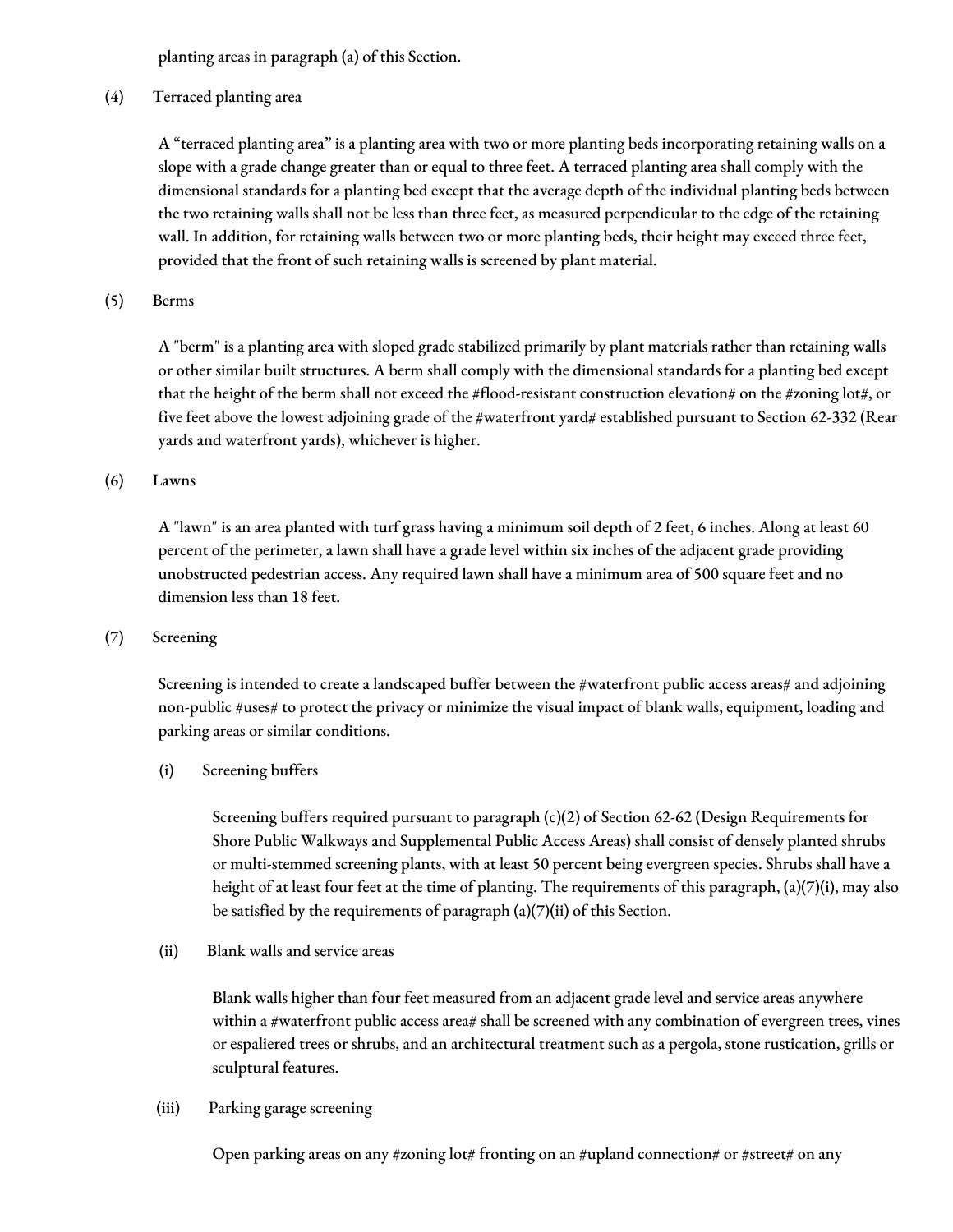planting areas in paragraph (a) of this Section.

(4) Terraced planting area

A "terraced planting area" is a planting area with two or more planting beds incorporating retaining walls on a slope with a grade change greater than or equal to three feet. A terraced planting area shall comply with the dimensional standards for a planting bed except that the average depth of the individual planting beds between the two retaining walls shall not be less than three feet, as measured perpendicular to the edge of the retaining wall. In addition, for retaining walls between two or more planting beds, their height may exceed three feet, provided that the front of such retaining walls is screened by plant material.

(5) Berms

A "berm" is a planting area with sloped grade stabilized primarily by plant materials rather than retaining walls or other similar built structures. A berm shall comply with the dimensional standards for a planting bed except that the height of the berm shall not exceed the #flood-resistant construction elevation# on the #zoning lot#, or five feet above the lowest adjoining grade of the #waterfront yard# established pursuant to Section 62-332 (Rear yards and waterfront yards), whichever is higher.

(6) Lawns

A "lawn" is an area planted with turf grass having a minimum soil depth of 2 feet, 6 inches. Along at least 60 percent of the perimeter, a lawn shall have a grade level within six inches of the adjacent grade providing unobstructed pedestrian access. Any required lawn shall have a minimum area of 500 square feet and no dimension less than 18 feet.

(7) Screening

Screening is intended to create a landscaped buffer between the #waterfront public access areas# and adjoining non-public #uses# to protect the privacy or minimize the visual impact of blank walls, equipment, loading and parking areas or similar conditions.

(i) Screening buffers

Screening buffers required pursuant to paragraph (c)(2) of Section 62-62 (Design Requirements for Shore Public Walkways and Supplemental Public Access Areas) shall consist of densely planted shrubs or multi-stemmed screening plants, with at least 50 percent being evergreen species. Shrubs shall have a height of at least four feet at the time of planting. The requirements of this paragraph, (a)(7)(i), may also be satisfied by the requirements of paragraph (a)(7)(ii) of this Section.

(ii) Blank walls and service areas

Blank walls higher than four feet measured from an adjacent grade level and service areas anywhere within a #waterfront public access area# shall be screened with any combination of evergreen trees, vines or espaliered trees or shrubs, and an architectural treatment such as a pergola, stone rustication, grills or sculptural features.

(iii) Parking garage screening

Open parking areas on any #zoning lot# fronting on an #upland connection# or #street# on any